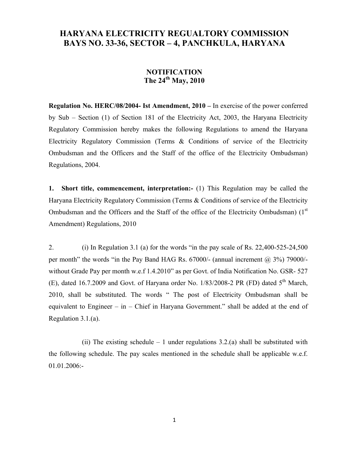## **HARYANA ELECTRICITY REGUALTORY COMMISSION BAYS NO. 33-36, SECTOR – 4, PANCHKULA, HARYANA**

## **NOTIFICATION The 24th May, 2010**

**Regulation No. HERC/08/2004- Ist Amendment, 2010 –** In exercise of the power conferred by Sub – Section (1) of Section 181 of the Electricity Act, 2003, the Haryana Electricity Regulatory Commission hereby makes the following Regulations to amend the Haryana Electricity Regulatory Commission (Terms & Conditions of service of the Electricity Ombudsman and the Officers and the Staff of the office of the Electricity Ombudsman) Regulations, 2004.

**1. Short title, commencement, interpretation:-** (1) This Regulation may be called the Haryana Electricity Regulatory Commission (Terms & Conditions of service of the Electricity Ombudsman and the Officers and the Staff of the office of the Electricity Ombudsman)  $(1<sup>st</sup>$ Amendment) Regulations, 2010

2. (i) In Regulation 3.1 (a) for the words "in the pay scale of Rs. 22,400-525-24,500 per month" the words "in the Pay Band HAG Rs. 67000/- (annual increment @ 3%) 79000/ without Grade Pay per month w.e.f 1.4.2010" as per Govt. of India Notification No. GSR- 527 (E), dated 16.7.2009 and Govt. of Haryana order No.  $1/83/2008-2$  PR (FD) dated  $5<sup>th</sup>$  March, 2010, shall be substituted. The words " The post of Electricity Ombudsman shall be equivalent to Engineer – in – Chief in Haryana Government." shall be added at the end of Regulation 3.1.(a).

(ii) The existing schedule  $-1$  under regulations 3.2.(a) shall be substituted with the following schedule. The pay scales mentioned in the schedule shall be applicable w.e.f. 01.01.2006:-